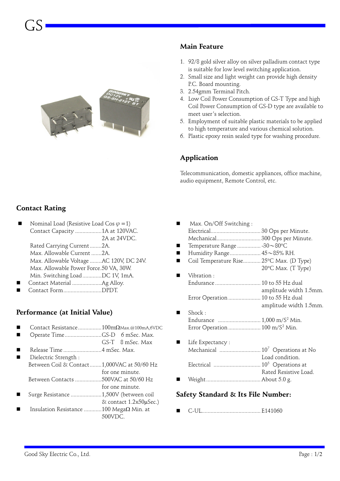

#### **Main Feature**

- 1. 92/8 gold silver alloy on silver palladium contact type is suitable for low level switching application.
- 2. Small size and light weight can provide high density P.C. Board mounting.
- 3. 2.54gmm Terminal Pitch.
- 4. Low Coil Power Consumption of GS-T Type and high Coil Power Consumption of GS-D type are available to meet user's selection.
- 5. Employment of suitable plastic materials to be applied to high temperature and various chemical solution.
- 6. Plastic epoxy resin sealed type for washing procedure.

## **Application**

Telecommunication, domestic appliances, office machine, audio equipment, Remote Control, etc.

## **Contact Rating**

- Nominal Load (Resistive Load Cos  $\varphi=1$ ) Contact Capacity ..................1A at 120VAC. 2A at 24VDC. Rated Carrying Current........2A. Max. Allowable Current .......2A. Max. Allowable Voltage ........AC 120V, DC 24V.
- Max. Allowable Power Force.50 VA, 30W. Min. Switching Load.............DC 1V, 1mA.
- � Contact Material ....................Ag Alloy.
- � Contact Form..........................DPDT.

## **Performance (at Initial Value)**

- � Contact Resistance................100mΩMax.@100mA,6VDC
- Operate Time.........................GS-D 6 mSec. Max.
- GS-T 8 mSec. Max
- � Release Time ..........................4 mSec. Max.
- Dielectric Strength : Between Coil & Contact........1,000VAC at 50/60 Hz for one minute.
- Between Contacts ..................500VAC at 50/60 Hz
- for one minute.
- � Surge Resistance .....................1,500V (between coil & contact 1.2x50µSec.)
- Insulation Resistance ............100 Mega $\Omega$  Min. at 500VDC.
- Max. On/Off Switching : Electrical.................................. 30 Ops per Minute. Mechanical.............................. 300 Ops per Minute. � Temperature Range ................ -30〜80°C � Humidity Range..................... 45〜85% RH. ■ Coil Temperature Rise............. 25°C Max. (D Type) 20°C Max. (T Type) Vibration : Endurance ............................... 10 to 55 Hz dual amplitude width 1.5mm. Error Operation ...................... 10 to 55 Hz dual amplitude width 1.5mm. Shock : Endurance ............................. 1,000 m/S2 Min. Error Operation ........................... 100 m/S<sup>2</sup> Min. Life Expectancy : Mechanical ............................ 107 Operations at No Load condition.
- Rated Resistive Load. � Weight..................................... About 5.0 g.

Electrical ................................ 105 Operations at

#### **Safety Standard & Its File Number:**

� C-UL........................................ E141060